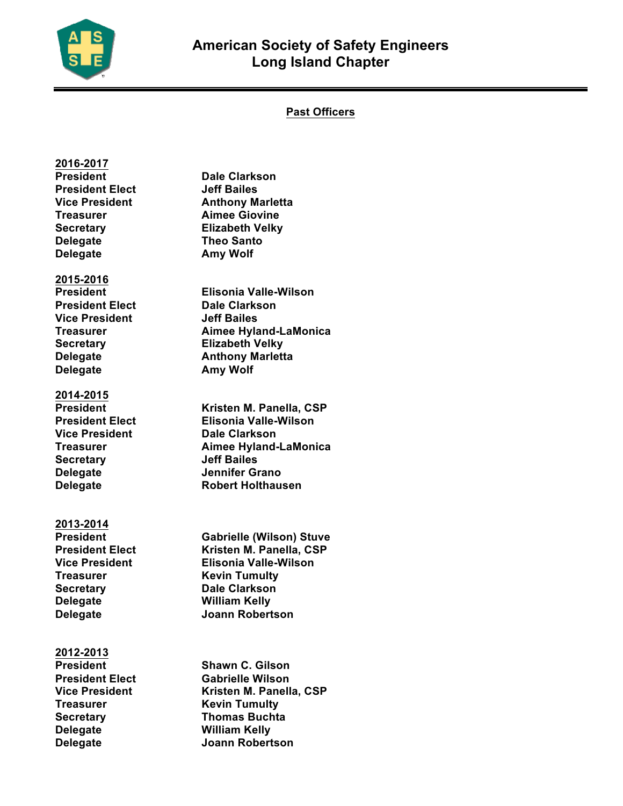

**2016-2017**

## **Past Officers**

## **President Dale Clarkson President Elect Jeff Bailes Vice President Anthony Marletta Treasurer Aimee Giovine Secretary Elizabeth Velky Delegate Theo Santo Delegate Amy Wolf 2015-2016 President Elisonia Valle-Wilson President Elect Dale Clarkson Vice President Jeff Bailes Treasurer Aimee Hyland-LaMonica Secretary Elizabeth Velky Delegate Anthony Marletta Delegate Amy Wolf 2014-2015 President Kristen M. Panella, CSP President Elect Elisonia Valle-Wilson Vice President Dale Clarkson Treasurer Aimee Hyland-LaMonica Secretary Jeff Bailes Delegate Jennifer Grano Delegate Robert Holthausen 2013-2014 President Gabrielle (Wilson) Stuve Vice President Elisonia Valle-Wilson Treasurer Kevin Tumulty Secretary Dale Clarkson Delegate William Kelly Delegate Joann Robertson 2012-2013 President Shawn C. Gilson President Elect Gabrielle Wilson Vice President Kristen M. Panella, CSP Treasurer Kevin Tumulty Secretary Thomas Buchta Delegate William Kelly Delegate Joann Robertson**

**Kristen M. Panella, CSP**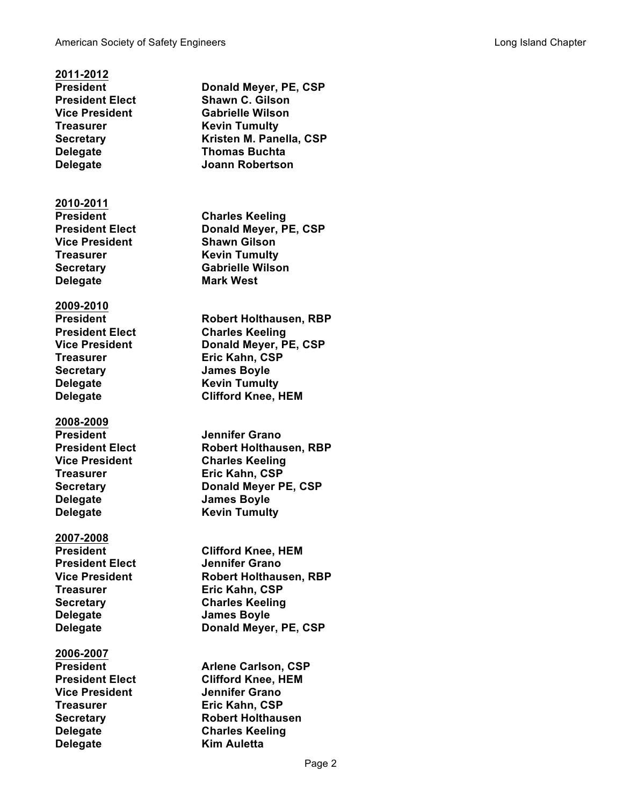**2011-2012 Treasurer Kevin Tumulty**

**2010-2011 Vice President Shawn Gilson Treasurer Kevin Tumulty Delegate Mark West**

**2009-2010 Treasurer Eric Kahn, CSP Secretary James Boyle Delegate Kevin Tumulty**

**2008-2009 President Jennifer Grano Delegate James Boyle Delegate Kevin Tumulty**

**2007-2008 President Elect Jennifer Grano Delegate James Boyle**

**2006-2007 Vice President Jennifer Grano Treasurer Eric Kahn, CSP Delegate Kim Auletta**

**President Donald Meyer, PE, CSP President Elect Shawn C. Gilson Vice President Gabrielle Wilson Secretary Kristen M. Panella, CSP Delegate Thomas Buchta Delegate Joann Robertson President Charles Keeling President Elect Donald Meyer, PE, CSP Secretary Gabrielle Wilson President Robert Holthausen, RBP President Elect Charles Keeling Vice President Donald Meyer, PE, CSP Delegate Clifford Knee, HEM President Elect Robert Holthausen, RBP Vice President Charles Keeling Treasurer Eric Kahn, CSP Secretary Donald Meyer PE, CSP President Clifford Knee, HEM Vice President Robert Holthausen, RBP Eric Kahn, CSP Secretary Charles Keeling Delegate Donald Meyer, PE, CSP Arlene Carlson, CSP President Elect Clifford Knee, HEM**

**Secretary Robert Holthausen Delegate Charles Keeling**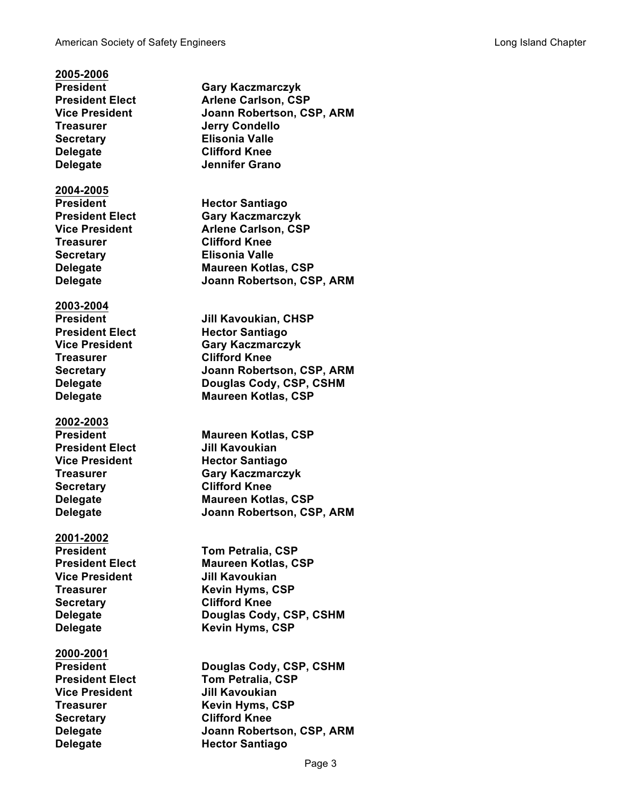**2005-2006 President Gary Kaczmarczyk President Elect Arlene Carlson, CSP Vice President Joann Robertson, CSP, ARM Treasurer Jerry Condello Secretary Elisonia Valle Delegate Clifford Knee Delegate Jennifer Grano 2004-2005 President Hector Santiago President Elect Gary Kaczmarczyk Vice President Arlene Carlson, CSP Treasurer Clifford Knee Secretary Elisonia Valle Delegate Maureen Kotlas, CSP Delegate Joann Robertson, CSP, ARM 2003-2004 President Jill Kavoukian, CHSP President Elect Hector Santiago Vice President Gary Kaczmarczyk Treasurer Clifford Knee Secretary Joann Robertson, CSP, ARM Delegate Douglas Cody, CSP, CSHM Delegate Maureen Kotlas, CSP 2002-2003 President Maureen Kotlas, CSP President Elect Jill Kavoukian Vice President Hector Santiago Treasurer Gary Kaczmarczyk Secretary Clifford Knee Delegate Maureen Kotlas, CSP Delegate Joann Robertson, CSP, ARM 2001-2002 President Tom Petralia, CSP President Elect Maureen Kotlas, CSP Vice President Jill Kavoukian Treasurer Kevin Hyms, CSP Secretary Clifford Knee Delegate Douglas Cody, CSP, CSHM Delegate Kevin Hyms, CSP 2000-2001 President Douglas Cody, CSP, CSHM President Elect Tom Petralia, CSP Vice President Jill Kavoukian Treasurer Kevin Hyms, CSP Secretary Clifford Knee Delegate Joann Robertson, CSP, ARM**

**Delegate Hector Santiago**

Page 3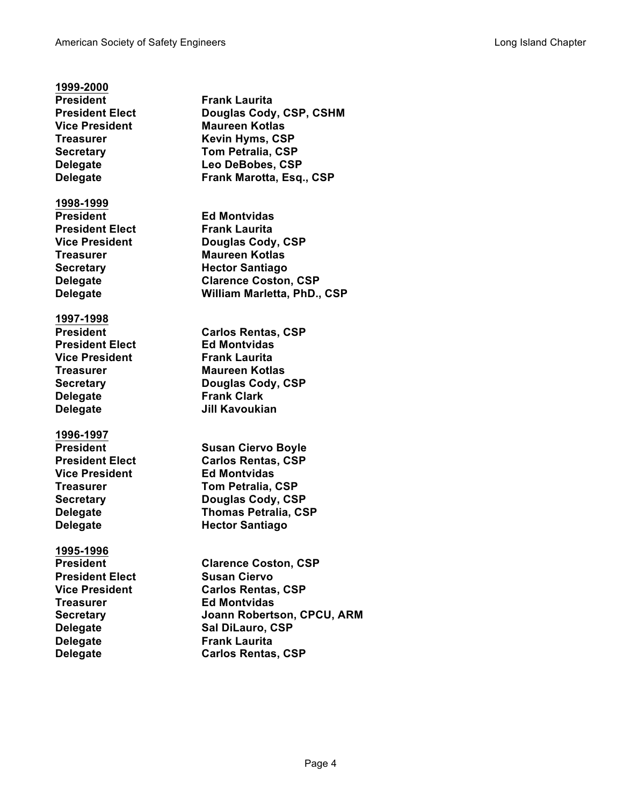# **1999-2000**

**President Frank Laurita**

### **1998-1999**

**President Ed Montvidas President Elect Frank Laurita**

### **1997-1998**

**President Elect Ed Montvidas Vice President Frank Laurita Delegate Frank Clark Delegate Jill Kavoukian**

### **1996-1997**

**Vice President Ed Montvidas**

## **1995-1996**

**President Elect Susan Ciervo Treasurer Ed Montvidas Delegate Frank Laurita**

**Pouglas Cody, CSP, CSHM Vice President Maureen Kotlas Treasurer Kevin Hyms, CSP Secretary Tom Petralia, CSP Delegate Leo DeBobes, CSP Delegate Frank Marotta, Esq., CSP Vice President Douglas Cody, CSP Treasurer Maureen Kotlas Secretary Hector Santiago Delegate Clarence Coston, CSP Delegate William Marletta, PhD., CSP**

**President Carlos Rentas, CSP Treasurer Maureen Kotlas Secretary Douglas Cody, CSP**

**President Susan Ciervo Boyle President Elect Carlos Rentas, CSP Treasurer Tom Petralia, CSP Secretary Douglas Cody, CSP Delegate Thomas Petralia, CSP Delegate Hector Santiago**

**President Clarence Coston, CSP Vice President Carlos Rentas, CSP Secretary Joann Robertson, CPCU, ARM Delegate Sal DiLauro, CSP Delegate Carlos Rentas, CSP**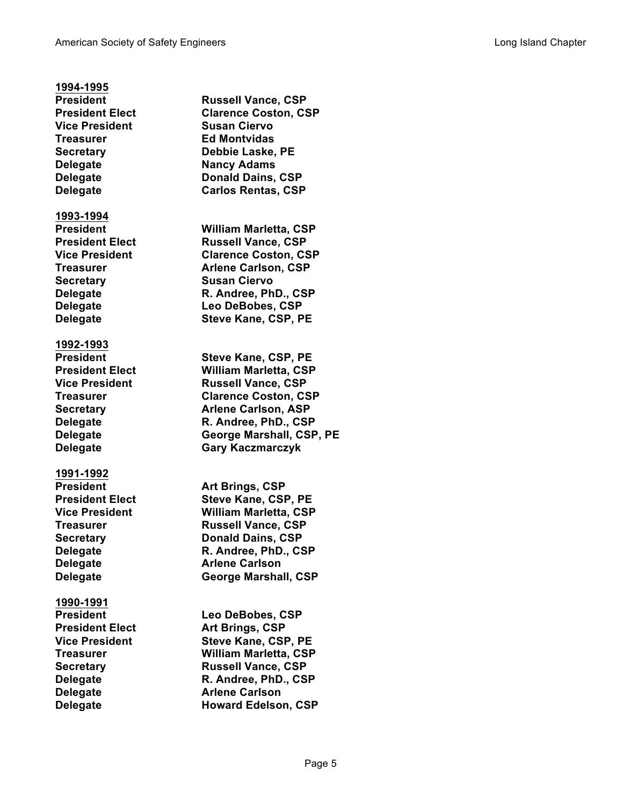## **1994-1995**

**President Russell Vance, CSP Vice President Susan Ciervo Treasurer Ed Montvidas Delegate Nancy Adams**

#### **1993-1994**

**Secretary Susan Ciervo**

#### **1992-1993**

### **1991-1992**

**Delegate Arlene Carlson**

## **1990-1991**

**Delegate Arlene Carlson**

**President Elect Clarence Coston, CSP Secretary Debbie Laske, PE Delegate Donald Dains, CSP Delegate Carlos Rentas, CSP President William Marletta, CSP President Elect Russell Vance, CSP Vice President Clarence Coston, CSP Treasurer Arlene Carlson, CSP Delegate R. Andree, PhD., CSP Delegate Leo DeBobes, CSP Delegate Steve Kane, CSP, PE President Steve Kane, CSP, PE**

**President Elect William Marletta, CSP Vice President Russell Vance, CSP Treasurer Clarence Coston, CSP Secretary Arlene Carlson, ASP Delegate R. Andree, PhD., CSP Delegate George Marshall, CSP, PE Delegate Gary Kaczmarczyk**

**President Art Brings, CSP President Elect Steve Kane, CSP, PE Vice President William Marletta, CSP Treasurer Russell Vance, CSP Secretary <b>Donald Dains, CSP Delegate R. Andree, PhD., CSP Delegate George Marshall, CSP**

**President Leo DeBobes, CSP President Elect Art Brings, CSP Vice President Steve Kane, CSP, PE Treasurer William Marletta, CSP Secretary Russell Vance, CSP Delegate R. Andree, PhD., CSP Delegate Howard Edelson, CSP**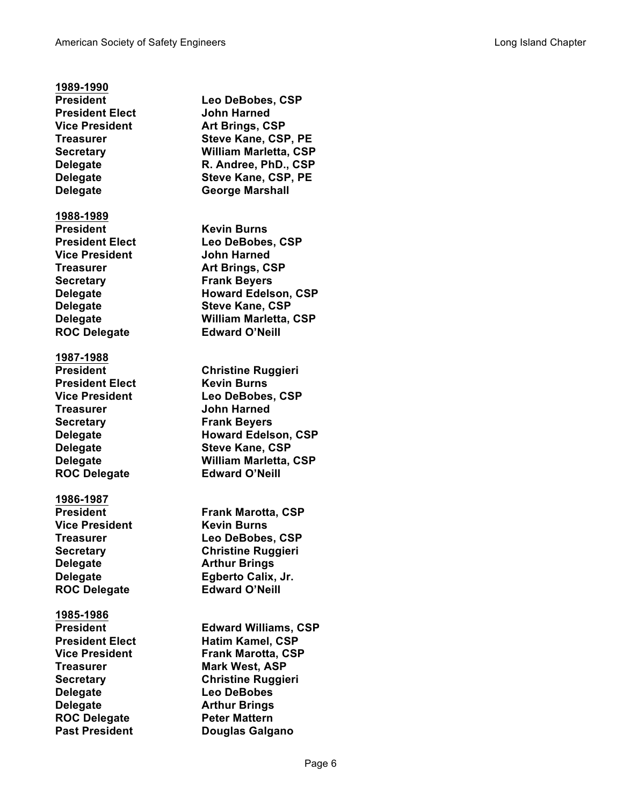## **1989-1990 President Leo DeBobes, CSP President Elect John Harned Vice President Art Brings, CSP Treasurer Steve Kane, CSP, PE Secretary William Marletta, CSP Delegate R. Andree, PhD., CSP Delegate Steve Kane, CSP, PE Delegate George Marshall 1988-1989 President Kevin Burns President Elect Leo DeBobes, CSP Vice President John Harned Treasurer Art Brings, CSP Secretary Frank Beyers Delegate Howard Edelson, CSP Delegate Steve Kane, CSP Delegate William Marletta, CSP ROC Delegate Edward O'Neill 1987-1988 President Christine Ruggieri President Elect Kevin Burns Vice President Leo DeBobes, CSP Treasurer John Harned Secretary Frank Beyers Delegate Howard Edelson, CSP Delegate Steve Kane, CSP Delegate William Marletta, CSP ROC Delegate Edward O'Neill 1986-1987 President Frank Marotta, CSP Vice President Kevin Burns Treasurer Leo DeBobes, CSP Secretary Christine Ruggieri Delegate Arthur Brings Delegate Egberto Calix, Jr. ROC Delegate Edward O'Neill 1985-1986 President Edward Williams, CSP President Elect Hatim Kamel, CSP Vice President Frank Marotta, CSP Treasurer Mark West, ASP Secretary Christine Ruggieri Delegate Leo DeBobes Delegate Arthur Brings ROC Delegate <b>Peter Mattern Past President Douglas Galgano**